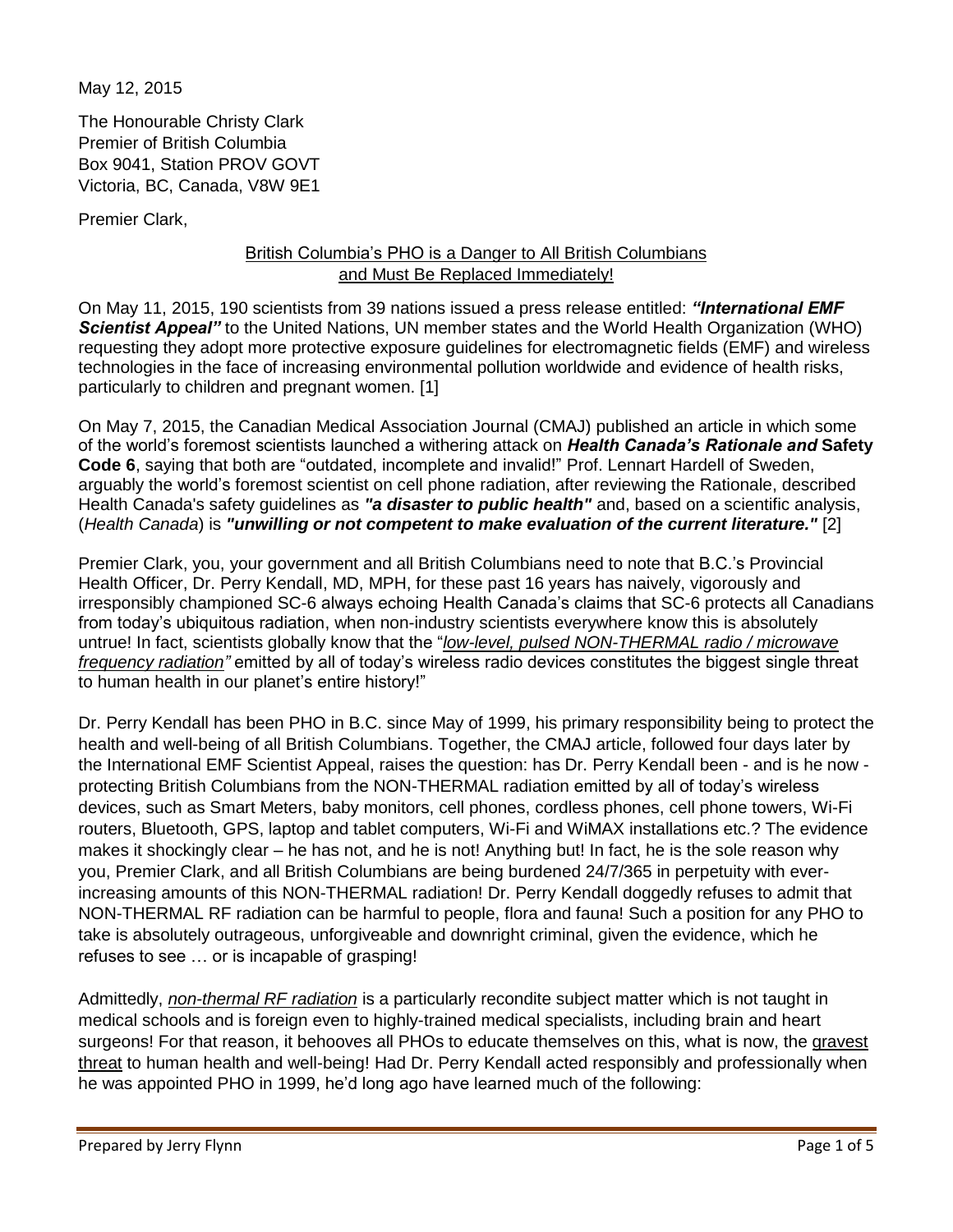May 12, 2015

The Honourable Christy Clark Premier of British Columbia Box 9041, Station PROV GOVT Victoria, BC, Canada, V8W 9E1

Premier Clark,

## British Columbia's PHO is a Danger to All British Columbians and Must Be Replaced Immediately!

On May 11, 2015, 190 scientists from 39 nations issued a press release entitled: *"International EMF Scientist Appeal"* to the United Nations, UN member states and the World Health Organization (WHO) requesting they adopt more protective exposure guidelines for electromagnetic fields (EMF) and wireless technologies in the face of increasing environmental pollution worldwide and evidence of health risks, particularly to children and pregnant women. [1]

On May 7, 2015, the Canadian Medical Association Journal (CMAJ) published an article in which some of the world's foremost scientists launched a withering attack on *Health Canada's Rationale and* **Safety Code 6**, saying that both are "outdated, incomplete and invalid!" Prof. Lennart Hardell of Sweden, arguably the world's foremost scientist on cell phone radiation, after reviewing the Rationale, described Health Canada's safety guidelines as *"a disaster to public health"* and, based on a scientific analysis, (*Health Canada*) is *"unwilling or not competent to make evaluation of the current literature."* [2]

Premier Clark, you, your government and all British Columbians need to note that B.C.'s Provincial Health Officer, Dr. Perry Kendall, MD, MPH, for these past 16 years has naively, vigorously and irresponsibly championed SC-6 always echoing Health Canada's claims that SC-6 protects all Canadians from today's ubiquitous radiation, when non-industry scientists everywhere know this is absolutely untrue! In fact, scientists globally know that the "*low-level, pulsed NON-THERMAL radio / microwave frequency radiation"* emitted by all of today's wireless radio devices constitutes the biggest single threat to human health in our planet's entire history!"

Dr. Perry Kendall has been PHO in B.C. since May of 1999, his primary responsibility being to protect the health and well-being of all British Columbians. Together, the CMAJ article, followed four days later by the International EMF Scientist Appeal, raises the question: has Dr. Perry Kendall been - and is he now protecting British Columbians from the NON-THERMAL radiation emitted by all of today's wireless devices, such as Smart Meters, baby monitors, cell phones, cordless phones, cell phone towers, Wi-Fi routers, Bluetooth, GPS, laptop and tablet computers, Wi-Fi and WiMAX installations etc.? The evidence makes it shockingly clear – he has not, and he is not! Anything but! In fact, he is the sole reason why you, Premier Clark, and all British Columbians are being burdened 24/7/365 in perpetuity with everincreasing amounts of this NON-THERMAL radiation! Dr. Perry Kendall doggedly refuses to admit that NON-THERMAL RF radiation can be harmful to people, flora and fauna! Such a position for any PHO to take is absolutely outrageous, unforgiveable and downright criminal, given the evidence, which he refuses to see … or is incapable of grasping!

Admittedly, *non-thermal RF radiation* is a particularly recondite subject matter which is not taught in medical schools and is foreign even to highly-trained medical specialists, including brain and heart surgeons! For that reason, it behooves all PHOs to educate themselves on this, what is now, the gravest threat to human health and well-being! Had Dr. Perry Kendall acted responsibly and professionally when he was appointed PHO in 1999, he'd long ago have learned much of the following: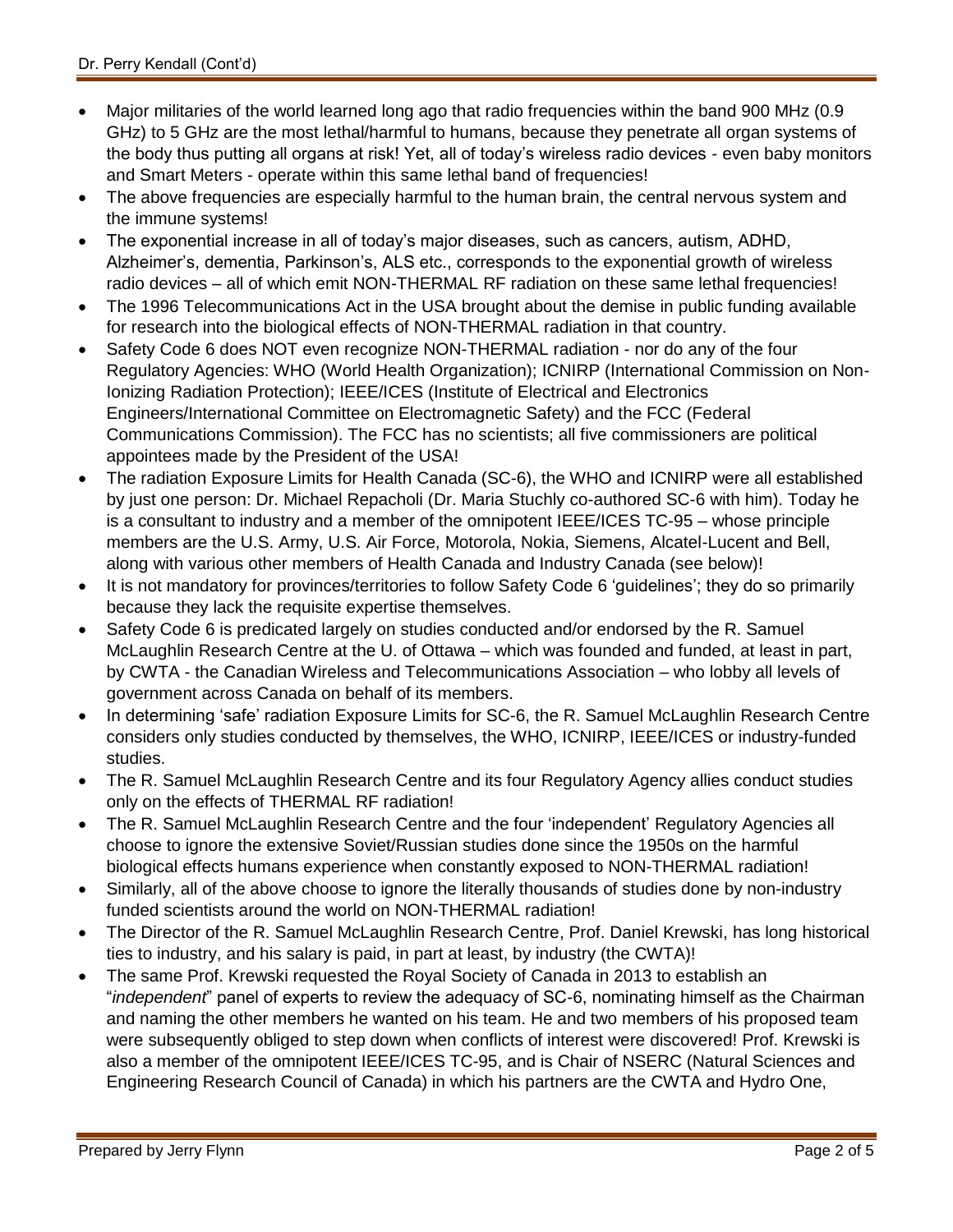- Major militaries of the world learned long ago that radio frequencies within the band 900 MHz (0.9 GHz) to 5 GHz are the most lethal/harmful to humans, because they penetrate all organ systems of the body thus putting all organs at risk! Yet, all of today's wireless radio devices - even baby monitors and Smart Meters - operate within this same lethal band of frequencies!
- The above frequencies are especially harmful to the human brain, the central nervous system and the immune systems!
- The exponential increase in all of today's major diseases, such as cancers, autism, ADHD, Alzheimer's, dementia, Parkinson's, ALS etc., corresponds to the exponential growth of wireless radio devices – all of which emit NON-THERMAL RF radiation on these same lethal frequencies!
- The 1996 Telecommunications Act in the USA brought about the demise in public funding available for research into the biological effects of NON-THERMAL radiation in that country.
- Safety Code 6 does NOT even recognize NON-THERMAL radiation nor do any of the four Regulatory Agencies: WHO (World Health Organization); ICNIRP (International Commission on Non-Ionizing Radiation Protection); IEEE/ICES (Institute of Electrical and Electronics Engineers/International Committee on Electromagnetic Safety) and the FCC (Federal Communications Commission). The FCC has no scientists; all five commissioners are political appointees made by the President of the USA!
- The radiation Exposure Limits for Health Canada (SC-6), the WHO and ICNIRP were all established by just one person: Dr. Michael Repacholi (Dr. Maria Stuchly co-authored SC-6 with him). Today he is a consultant to industry and a member of the omnipotent IEEE/ICES TC-95 – whose principle members are the U.S. Army, U.S. Air Force, Motorola, Nokia, Siemens, Alcatel-Lucent and Bell, along with various other members of Health Canada and Industry Canada (see below)!
- It is not mandatory for provinces/territories to follow Safety Code 6 'guidelines'; they do so primarily because they lack the requisite expertise themselves.
- Safety Code 6 is predicated largely on studies conducted and/or endorsed by the R. Samuel McLaughlin Research Centre at the U. of Ottawa – which was founded and funded, at least in part, by CWTA - the Canadian Wireless and Telecommunications Association – who lobby all levels of government across Canada on behalf of its members.
- In determining 'safe' radiation Exposure Limits for SC-6, the R. Samuel McLaughlin Research Centre considers only studies conducted by themselves, the WHO, ICNIRP, IEEE/ICES or industry-funded studies.
- The R. Samuel McLaughlin Research Centre and its four Regulatory Agency allies conduct studies only on the effects of THERMAL RF radiation!
- The R. Samuel McLaughlin Research Centre and the four 'independent' Regulatory Agencies all choose to ignore the extensive Soviet/Russian studies done since the 1950s on the harmful biological effects humans experience when constantly exposed to NON-THERMAL radiation!
- Similarly, all of the above choose to ignore the literally thousands of studies done by non-industry funded scientists around the world on NON-THERMAL radiation!
- The Director of the R. Samuel McLaughlin Research Centre, Prof. Daniel Krewski, has long historical ties to industry, and his salary is paid, in part at least, by industry (the CWTA)!
- The same Prof. Krewski requested the Royal Society of Canada in 2013 to establish an "*independent*" panel of experts to review the adequacy of SC-6, nominating himself as the Chairman and naming the other members he wanted on his team. He and two members of his proposed team were subsequently obliged to step down when conflicts of interest were discovered! Prof. Krewski is also a member of the omnipotent IEEE/ICES TC-95, and is Chair of NSERC (Natural Sciences and Engineering Research Council of Canada) in which his partners are the CWTA and Hydro One,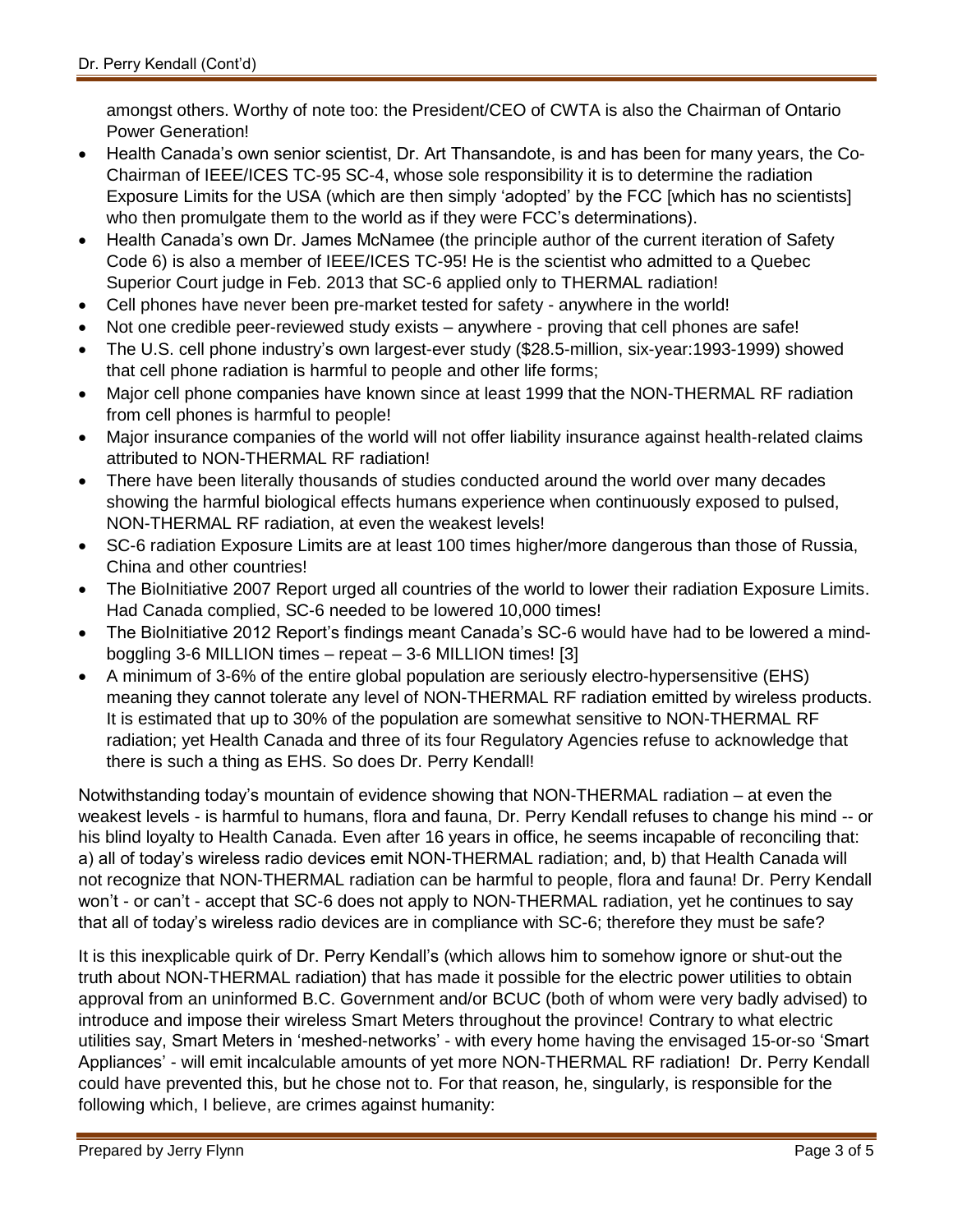amongst others. Worthy of note too: the President/CEO of CWTA is also the Chairman of Ontario Power Generation!

- Health Canada's own senior scientist, Dr. Art Thansandote, is and has been for many years, the Co-Chairman of IEEE/ICES TC-95 SC-4, whose sole responsibility it is to determine the radiation Exposure Limits for the USA (which are then simply 'adopted' by the FCC [which has no scientists] who then promulgate them to the world as if they were FCC's determinations).
- Health Canada's own Dr. James McNamee (the principle author of the current iteration of Safety Code 6) is also a member of IEEE/ICES TC-95! He is the scientist who admitted to a Quebec Superior Court judge in Feb. 2013 that SC-6 applied only to THERMAL radiation!
- Cell phones have never been pre-market tested for safety anywhere in the world!
- Not one credible peer-reviewed study exists anywhere proving that cell phones are safe!
- The U.S. cell phone industry's own largest-ever study (\$28.5-million, six-year:1993-1999) showed that cell phone radiation is harmful to people and other life forms;
- Major cell phone companies have known since at least 1999 that the NON-THERMAL RF radiation from cell phones is harmful to people!
- Major insurance companies of the world will not offer liability insurance against health-related claims attributed to NON-THERMAL RF radiation!
- There have been literally thousands of studies conducted around the world over many decades showing the harmful biological effects humans experience when continuously exposed to pulsed, NON-THERMAL RF radiation, at even the weakest levels!
- SC-6 radiation Exposure Limits are at least 100 times higher/more dangerous than those of Russia, China and other countries!
- The BioInitiative 2007 Report urged all countries of the world to lower their radiation Exposure Limits. Had Canada complied, SC-6 needed to be lowered 10,000 times!
- The BioInitiative 2012 Report's findings meant Canada's SC-6 would have had to be lowered a mindboggling 3-6 MILLION times – repeat – 3-6 MILLION times! [3]
- A minimum of 3-6% of the entire global population are seriously electro-hypersensitive (EHS) meaning they cannot tolerate any level of NON-THERMAL RF radiation emitted by wireless products. It is estimated that up to 30% of the population are somewhat sensitive to NON-THERMAL RF radiation; yet Health Canada and three of its four Regulatory Agencies refuse to acknowledge that there is such a thing as EHS. So does Dr. Perry Kendall!

Notwithstanding today's mountain of evidence showing that NON-THERMAL radiation – at even the weakest levels - is harmful to humans, flora and fauna, Dr. Perry Kendall refuses to change his mind -- or his blind loyalty to Health Canada. Even after 16 years in office, he seems incapable of reconciling that: a) all of today's wireless radio devices emit NON-THERMAL radiation; and, b) that Health Canada will not recognize that NON-THERMAL radiation can be harmful to people, flora and fauna! Dr. Perry Kendall won't - or can't - accept that SC-6 does not apply to NON-THERMAL radiation, yet he continues to say that all of today's wireless radio devices are in compliance with SC-6; therefore they must be safe?

It is this inexplicable quirk of Dr. Perry Kendall's (which allows him to somehow ignore or shut-out the truth about NON-THERMAL radiation) that has made it possible for the electric power utilities to obtain approval from an uninformed B.C. Government and/or BCUC (both of whom were very badly advised) to introduce and impose their wireless Smart Meters throughout the province! Contrary to what electric utilities say, Smart Meters in 'meshed-networks' - with every home having the envisaged 15-or-so 'Smart Appliances' - will emit incalculable amounts of yet more NON-THERMAL RF radiation! Dr. Perry Kendall could have prevented this, but he chose not to. For that reason, he, singularly, is responsible for the following which, I believe, are crimes against humanity: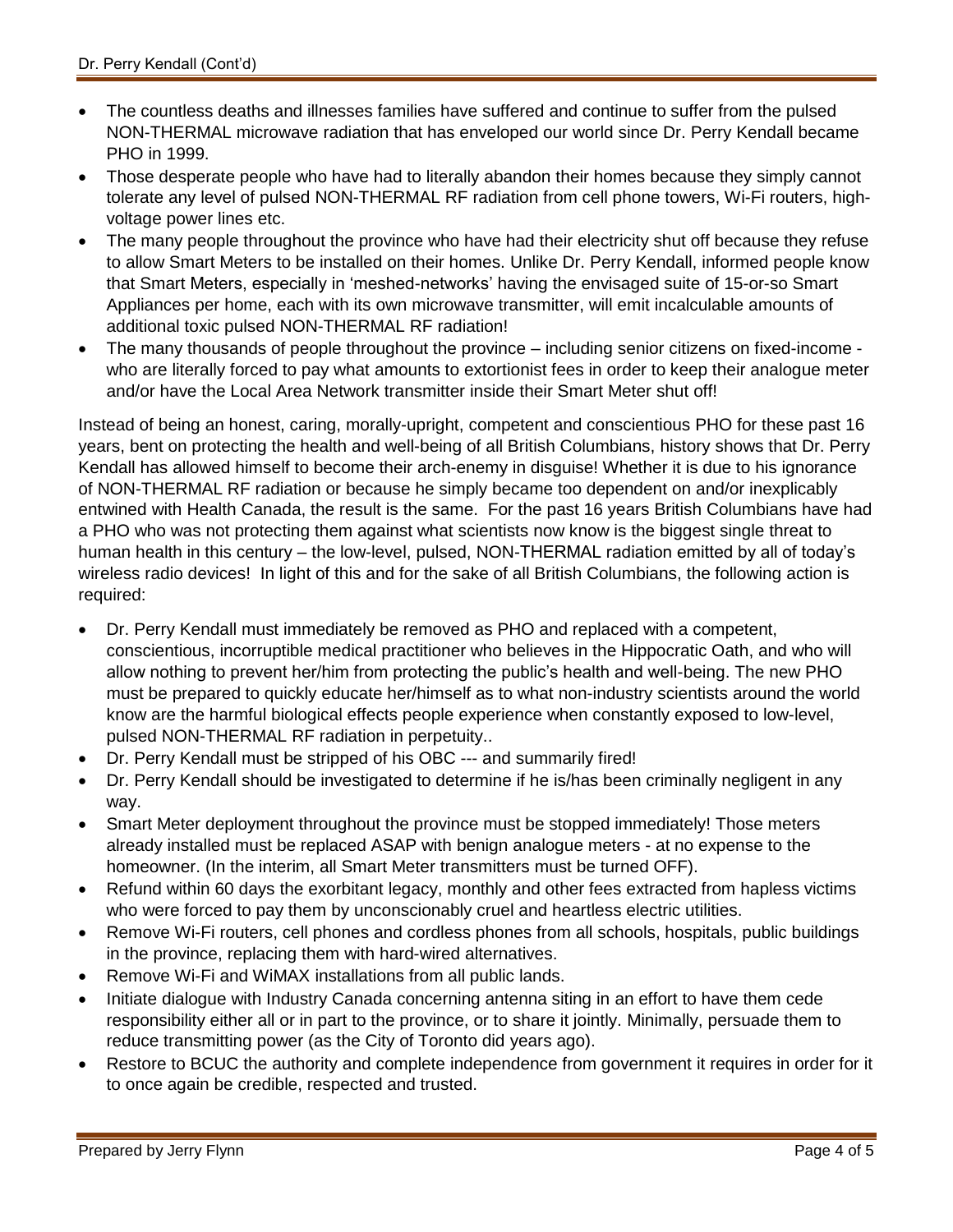- The countless deaths and illnesses families have suffered and continue to suffer from the pulsed NON-THERMAL microwave radiation that has enveloped our world since Dr. Perry Kendall became PHO in 1999.
- Those desperate people who have had to literally abandon their homes because they simply cannot tolerate any level of pulsed NON-THERMAL RF radiation from cell phone towers, Wi-Fi routers, highvoltage power lines etc.
- The many people throughout the province who have had their electricity shut off because they refuse to allow Smart Meters to be installed on their homes. Unlike Dr. Perry Kendall, informed people know that Smart Meters, especially in 'meshed-networks' having the envisaged suite of 15-or-so Smart Appliances per home, each with its own microwave transmitter, will emit incalculable amounts of additional toxic pulsed NON-THERMAL RF radiation!
- The many thousands of people throughout the province including senior citizens on fixed-income who are literally forced to pay what amounts to extortionist fees in order to keep their analogue meter and/or have the Local Area Network transmitter inside their Smart Meter shut off!

Instead of being an honest, caring, morally-upright, competent and conscientious PHO for these past 16 years, bent on protecting the health and well-being of all British Columbians, history shows that Dr. Perry Kendall has allowed himself to become their arch-enemy in disguise! Whether it is due to his ignorance of NON-THERMAL RF radiation or because he simply became too dependent on and/or inexplicably entwined with Health Canada, the result is the same. For the past 16 years British Columbians have had a PHO who was not protecting them against what scientists now know is the biggest single threat to human health in this century – the low-level, pulsed, NON-THERMAL radiation emitted by all of today's wireless radio devices! In light of this and for the sake of all British Columbians, the following action is required:

- Dr. Perry Kendall must immediately be removed as PHO and replaced with a competent, conscientious, incorruptible medical practitioner who believes in the Hippocratic Oath, and who will allow nothing to prevent her/him from protecting the public's health and well-being. The new PHO must be prepared to quickly educate her/himself as to what non-industry scientists around the world know are the harmful biological effects people experience when constantly exposed to low-level, pulsed NON-THERMAL RF radiation in perpetuity..
- Dr. Perry Kendall must be stripped of his OBC --- and summarily fired!
- Dr. Perry Kendall should be investigated to determine if he is/has been criminally negligent in any way.
- Smart Meter deployment throughout the province must be stopped immediately! Those meters already installed must be replaced ASAP with benign analogue meters - at no expense to the homeowner. (In the interim, all Smart Meter transmitters must be turned OFF).
- Refund within 60 days the exorbitant legacy, monthly and other fees extracted from hapless victims who were forced to pay them by unconscionably cruel and heartless electric utilities.
- Remove Wi-Fi routers, cell phones and cordless phones from all schools, hospitals, public buildings in the province, replacing them with hard-wired alternatives.
- Remove Wi-Fi and WiMAX installations from all public lands.
- Initiate dialogue with Industry Canada concerning antenna siting in an effort to have them cede responsibility either all or in part to the province, or to share it jointly. Minimally, persuade them to reduce transmitting power (as the City of Toronto did years ago).
- Restore to BCUC the authority and complete independence from government it requires in order for it to once again be credible, respected and trusted.